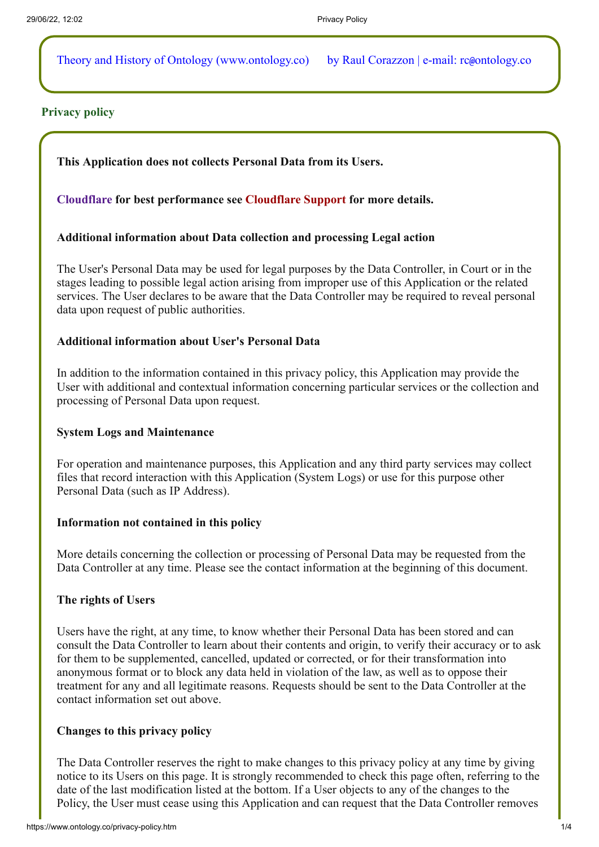Theory and History of Ontology (www.ontology.co) by Raul Corazzon | e-mail: rc@ontology.co

## **Privacy policy**

**This Application does not collects Personal Data from its Users.**

## **[Cloudflare](https://www.cloudflare.com/) for best performance see [Cloudflare Support](https://support.cloudflare.com/hc/en-us/articles/200170156-What-does-the-CloudFlare-cfduid-cookie-do-) for more details.**

## **Additional information about Data collection and processing Legal action**

The User's Personal Data may be used for legal purposes by the Data Controller, in Court or in the stages leading to possible legal action arising from improper use of this Application or the related services. The User declares to be aware that the Data Controller may be required to reveal personal data upon request of public authorities.

## **Additional information about User's Personal Data**

In addition to the information contained in this privacy policy, this Application may provide the User with additional and contextual information concerning particular services or the collection and processing of Personal Data upon request.

## **System Logs and Maintenance**

For operation and maintenance purposes, this Application and any third party services may collect files that record interaction with this Application (System Logs) or use for this purpose other Personal Data (such as IP Address).

## **Information not contained in this policy**

More details concerning the collection or processing of Personal Data may be requested from the Data Controller at any time. Please see the contact information at the beginning of this document.

## **The rights of Users**

Users have the right, at any time, to know whether their Personal Data has been stored and can consult the Data Controller to learn about their contents and origin, to verify their accuracy or to ask for them to be supplemented, cancelled, updated or corrected, or for their transformation into anonymous format or to block any data held in violation of the law, as well as to oppose their treatment for any and all legitimate reasons. Requests should be sent to the Data Controller at the contact information set out above.

## **Changes to this privacy policy**

The Data Controller reserves the right to make changes to this privacy policy at any time by giving notice to its Users on this page. It is strongly recommended to check this page often, referring to the date of the last modification listed at the bottom. If a User objects to any of the changes to the Policy, the User must cease using this Application and can request that the Data Controller removes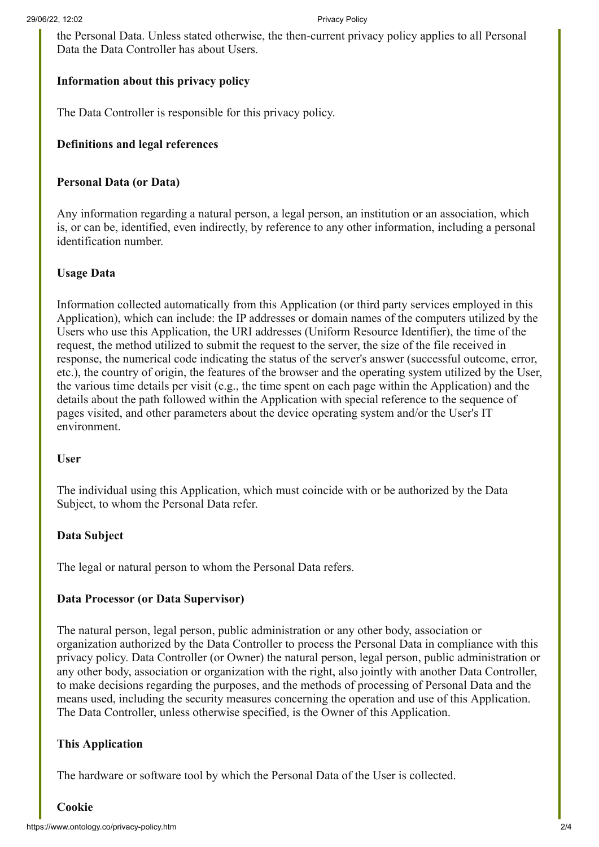the Personal Data. Unless stated otherwise, the then-current privacy policy applies to all Personal Data the Data Controller has about Users.

# **Information about this privacy policy**

The Data Controller is responsible for this privacy policy.

# **Definitions and legal references**

## **Personal Data (or Data)**

Any information regarding a natural person, a legal person, an institution or an association, which is, or can be, identified, even indirectly, by reference to any other information, including a personal identification number.

## **Usage Data**

Information collected automatically from this Application (or third party services employed in this Application), which can include: the IP addresses or domain names of the computers utilized by the Users who use this Application, the URI addresses (Uniform Resource Identifier), the time of the request, the method utilized to submit the request to the server, the size of the file received in response, the numerical code indicating the status of the server's answer (successful outcome, error, etc.), the country of origin, the features of the browser and the operating system utilized by the User, the various time details per visit (e.g., the time spent on each page within the Application) and the details about the path followed within the Application with special reference to the sequence of pages visited, and other parameters about the device operating system and/or the User's IT environment.

## **User**

The individual using this Application, which must coincide with or be authorized by the Data Subject, to whom the Personal Data refer.

## **Data Subject**

The legal or natural person to whom the Personal Data refers.

## **Data Processor (or Data Supervisor)**

The natural person, legal person, public administration or any other body, association or organization authorized by the Data Controller to process the Personal Data in compliance with this privacy policy. Data Controller (or Owner) the natural person, legal person, public administration or any other body, association or organization with the right, also jointly with another Data Controller, to make decisions regarding the purposes, and the methods of processing of Personal Data and the means used, including the security measures concerning the operation and use of this Application. The Data Controller, unless otherwise specified, is the Owner of this Application.

# **This Application**

The hardware or software tool by which the Personal Data of the User is collected.

# **Cookie**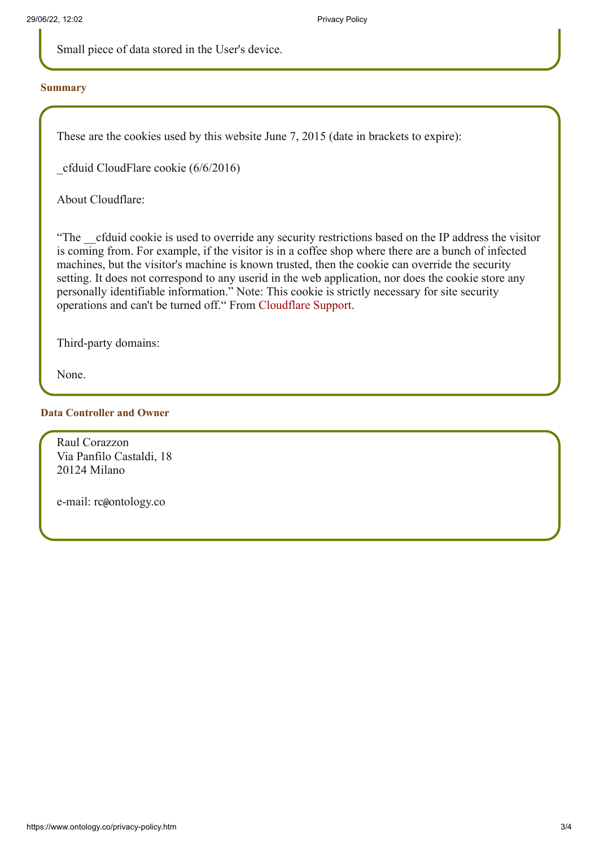Small piece of data stored in the User's device.

#### **Summary**

These are the cookies used by this website June 7, 2015 (date in brackets to expire):

\_cfduid CloudFlare cookie (6/6/2016)

About Cloudflare:

"The cfduid cookie is used to override any security restrictions based on the IP address the visitor is coming from. For example, if the visitor is in a coffee shop where there are a bunch of infected machines, but the visitor's machine is known trusted, then the cookie can override the security setting. It does not correspond to any userid in the web application, nor does the cookie store any personally identifiable information." Note: This cookie is strictly necessary for site security operations and can't be turned off." From [Cloudflare Support](https://support.cloudflare.com/hc/en-us/articles/200170156-What-does-the-CloudFlare-cfduid-cookie-do-).

Third-party domains:

None.

#### **Data Controller and Owner**

Raul Corazzon Via Panfilo Castaldi, 18 20124 Milano

e-mail: rc@ontology.co